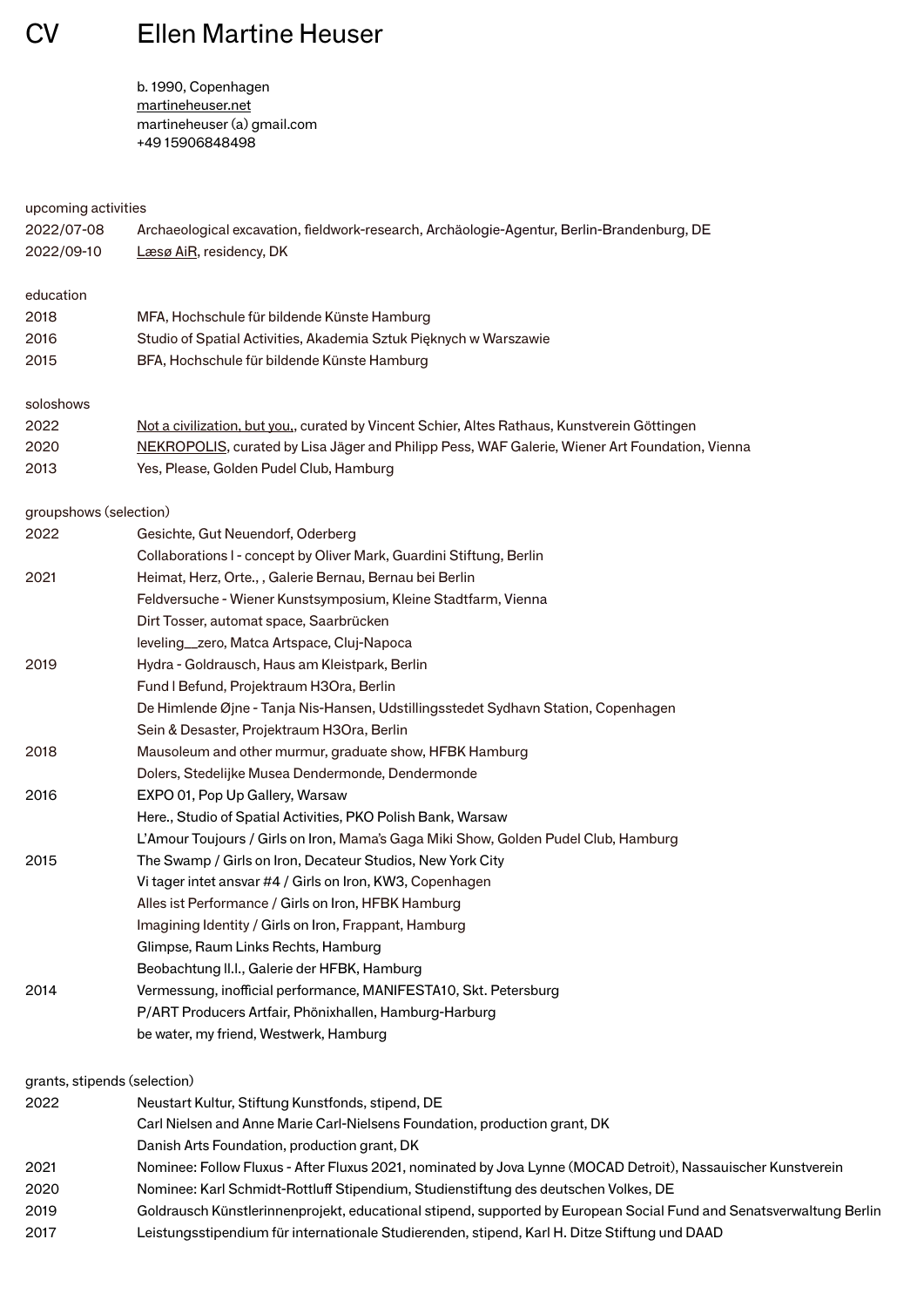CV Ellen Martine Heuser

 b. 1990, Copenhagen [martineheuser.net](http://www.martineheuser.net)  martineheuser (a) gmail.com +49 15906848498

| upcoming activities    |                                                                                                |
|------------------------|------------------------------------------------------------------------------------------------|
| 2022/07-08             | Archaeological excavation, fieldwork-research, Archäologie-Agentur, Berlin-Brandenburg, DE     |
| 2022/09-10             | Læsø AiR, residency, DK                                                                        |
| education              |                                                                                                |
| 2018                   | MFA, Hochschule für bildende Künste Hamburg                                                    |
| 2016                   | Studio of Spatial Activities, Akademia Sztuk Pięknych w Warszawie                              |
| 2015                   | BFA, Hochschule für bildende Künste Hamburg                                                    |
| soloshows              |                                                                                                |
| 2022                   | Not a civilization, but you,, curated by Vincent Schier, Altes Rathaus, Kunstverein Göttingen  |
| 2020                   | NEKROPOLIS, curated by Lisa Jäger and Philipp Pess, WAF Galerie, Wiener Art Foundation, Vienna |
| 2013                   | Yes, Please, Golden Pudel Club, Hamburg                                                        |
| groupshows (selection) |                                                                                                |
| 2022                   | Gesichte, Gut Neuendorf, Oderberg                                                              |
|                        | Collaborations I - concept by Oliver Mark, Guardini Stiftung, Berlin                           |
| 2021                   | Heimat, Herz, Orte., , Galerie Bernau, Bernau bei Berlin                                       |
|                        | Feldversuche - Wiener Kunstsymposium, Kleine Stadtfarm, Vienna                                 |
|                        | Dirt Tosser, automat space, Saarbrücken                                                        |
|                        | leveling_zero, Matca Artspace, Cluj-Napoca                                                     |
| 2019                   | Hydra - Goldrausch, Haus am Kleistpark, Berlin                                                 |
|                        | Fund I Befund, Projektraum H3Ora, Berlin                                                       |
|                        | De Himlende Øjne - Tanja Nis-Hansen, Udstillingsstedet Sydhavn Station, Copenhagen             |
|                        | Sein & Desaster, Projektraum H3Ora, Berlin                                                     |
| 2018                   | Mausoleum and other murmur, graduate show, HFBK Hamburg                                        |
|                        | Dolers, Stedelijke Musea Dendermonde, Dendermonde                                              |
| 2016                   | EXPO 01, Pop Up Gallery, Warsaw                                                                |
|                        | Here., Studio of Spatial Activities, PKO Polish Bank, Warsaw                                   |
|                        | L'Amour Toujours / Girls on Iron, Mama's Gaga Miki Show, Golden Pudel Club, Hamburg            |
| 2015                   | The Swamp / Girls on Iron, Decateur Studios, New York City                                     |
|                        | Vi tager intet ansvar #4 / Girls on Iron, KW3, Copenhagen                                      |
|                        | Alles ist Performance / Girls on Iron, HFBK Hamburg                                            |
|                        | Imagining Identity / Girls on Iron, Frappant, Hamburg                                          |
|                        | Glimpse, Raum Links Rechts, Hamburg                                                            |
|                        | Beobachtung II.I., Galerie der HFBK, Hamburg                                                   |
| 2014                   | Vermessung, inofficial performance, MANIFESTA10, Skt. Petersburg                               |
|                        | P/ART Producers Artfair, Phönixhallen, Hamburg-Harburg                                         |
|                        | be water, my friend, Westwerk, Hamburg                                                         |

| 2022 | Neustart Kultur, Stiftung Kunstfonds, stipend, DE                                                                   |
|------|---------------------------------------------------------------------------------------------------------------------|
|      | Carl Nielsen and Anne Marie Carl-Nielsens Foundation, production grant, DK                                          |
|      | Danish Arts Foundation, production grant, DK                                                                        |
| 2021 | Nominee: Follow Fluxus - After Fluxus 2021, nominated by Jova Lynne (MOCAD Detroit), Nassauischer Kunstverein       |
| 2020 | Nominee: Karl Schmidt-Rottluff Stipendium, Studienstiftung des deutschen Volkes, DE                                 |
| 2019 | Goldrausch Künstlerinnenprojekt, educational stipend, supported by European Social Fund and Senatsverwaltung Berlin |
| 2017 | Leistungsstipendium für internationale Studierenden, stipend, Karl H. Ditze Stiftung und DAAD                       |
|      |                                                                                                                     |